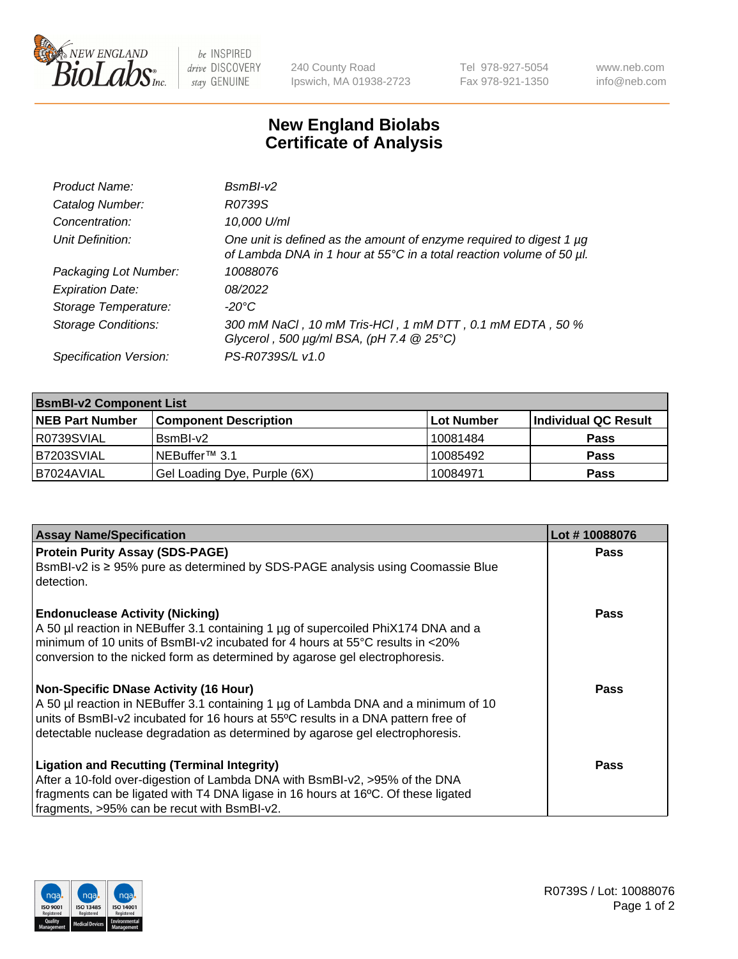

 $be$  INSPIRED drive DISCOVERY stay GENUINE

240 County Road Ipswich, MA 01938-2723 Tel 978-927-5054 Fax 978-921-1350 www.neb.com info@neb.com

## **New England Biolabs Certificate of Analysis**

| Product Name:              | $BsmBI-v2$                                                                                                                                  |
|----------------------------|---------------------------------------------------------------------------------------------------------------------------------------------|
| Catalog Number:            | R0739S                                                                                                                                      |
| Concentration:             | 10,000 U/ml                                                                                                                                 |
| Unit Definition:           | One unit is defined as the amount of enzyme required to digest 1 µg<br>of Lambda DNA in 1 hour at 55°C in a total reaction volume of 50 µl. |
| Packaging Lot Number:      | 10088076                                                                                                                                    |
| <b>Expiration Date:</b>    | 08/2022                                                                                                                                     |
| Storage Temperature:       | $-20^{\circ}$ C                                                                                                                             |
| <b>Storage Conditions:</b> | 300 mM NaCl, 10 mM Tris-HCl, 1 mM DTT, 0.1 mM EDTA, 50 %<br>Glycerol, 500 $\mu$ g/ml BSA, (pH 7.4 $@25°C$ )                                 |
| Specification Version:     | PS-R0739S/L v1.0                                                                                                                            |

| <b>BsmBI-v2 Component List</b> |                              |            |                      |  |  |
|--------------------------------|------------------------------|------------|----------------------|--|--|
| <b>NEB Part Number</b>         | <b>Component Description</b> | Lot Number | Individual QC Result |  |  |
| R0739SVIAL                     | BsmBI-v2                     | 10081484   | <b>Pass</b>          |  |  |
| B7203SVIAL                     | INEBuffer™ 3.1               | 10085492   | <b>Pass</b>          |  |  |
| B7024AVIAL                     | Gel Loading Dye, Purple (6X) | 10084971   | <b>Pass</b>          |  |  |

| <b>Assay Name/Specification</b>                                                                                                                                                                                                                                                                          | Lot #10088076 |
|----------------------------------------------------------------------------------------------------------------------------------------------------------------------------------------------------------------------------------------------------------------------------------------------------------|---------------|
| <b>Protein Purity Assay (SDS-PAGE)</b><br>BsmBI-v2 is ≥ 95% pure as determined by SDS-PAGE analysis using Coomassie Blue                                                                                                                                                                                 | <b>Pass</b>   |
| detection.<br><b>Endonuclease Activity (Nicking)</b><br>A 50 µl reaction in NEBuffer 3.1 containing 1 µg of supercoiled PhiX174 DNA and a                                                                                                                                                                | <b>Pass</b>   |
| minimum of 10 units of BsmBI-v2 incubated for 4 hours at 55°C results in <20%<br>conversion to the nicked form as determined by agarose gel electrophoresis.                                                                                                                                             |               |
| <b>Non-Specific DNase Activity (16 Hour)</b><br>A 50 µl reaction in NEBuffer 3.1 containing 1 µg of Lambda DNA and a minimum of 10<br>units of BsmBI-v2 incubated for 16 hours at 55°C results in a DNA pattern free of<br>detectable nuclease degradation as determined by agarose gel electrophoresis. | Pass          |
| <b>Ligation and Recutting (Terminal Integrity)</b><br>After a 10-fold over-digestion of Lambda DNA with BsmBI-v2, >95% of the DNA<br>fragments can be ligated with T4 DNA ligase in 16 hours at 16°C. Of these ligated<br>fragments, >95% can be recut with BsmBI-v2.                                    | <b>Pass</b>   |